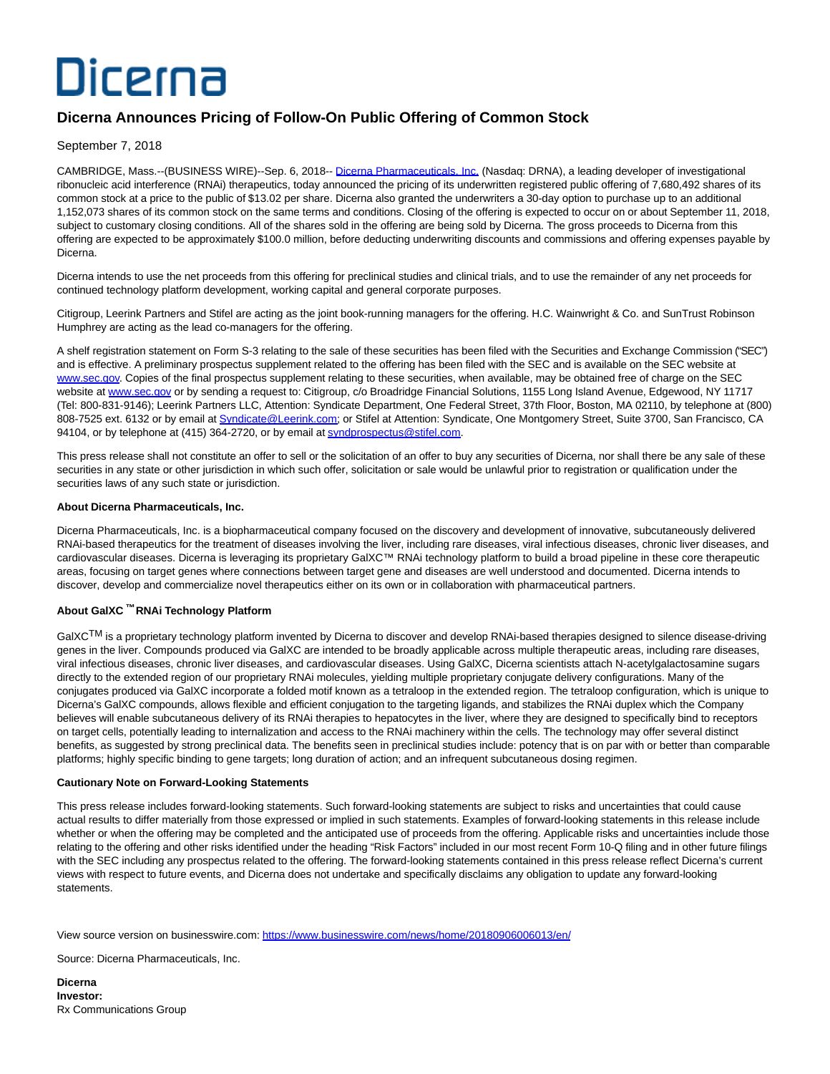# Dicerna

## **Dicerna Announces Pricing of Follow-On Public Offering of Common Stock**

September 7, 2018

CAMBRIDGE, Mass.--(BUSINESS WIRE)--Sep. 6, 2018-- [Dicerna Pharmaceuticals, Inc. \(](http://cts.businesswire.com/ct/CT?id=smartlink&url=http%3A%2F%2Fdicerna.com%2F&esheet=51863267&newsitemid=20180906006013&lan=en-US&anchor=Dicerna+Pharmaceuticals%2C+Inc.&index=1&md5=51c0f4f03f1144463ad12ef6a8a496f3)Nasdaq: DRNA), a leading developer of investigational ribonucleic acid interference (RNAi) therapeutics, today announced the pricing of its underwritten registered public offering of 7,680,492 shares of its common stock at a price to the public of \$13.02 per share. Dicerna also granted the underwriters a 30-day option to purchase up to an additional 1,152,073 shares of its common stock on the same terms and conditions. Closing of the offering is expected to occur on or about September 11, 2018, subject to customary closing conditions. All of the shares sold in the offering are being sold by Dicerna. The gross proceeds to Dicerna from this offering are expected to be approximately \$100.0 million, before deducting underwriting discounts and commissions and offering expenses payable by Dicerna.

Dicerna intends to use the net proceeds from this offering for preclinical studies and clinical trials, and to use the remainder of any net proceeds for continued technology platform development, working capital and general corporate purposes.

Citigroup, Leerink Partners and Stifel are acting as the joint book-running managers for the offering. H.C. Wainwright & Co. and SunTrust Robinson Humphrey are acting as the lead co-managers for the offering.

A shelf registration statement on Form S-3 relating to the sale of these securities has been filed with the Securities and Exchange Commission ("SEC") and is effective. A preliminary prospectus supplement related to the offering has been filed with the SEC and is available on the SEC website at [www.sec.gov.](http://www.sec.gov/) Copies of the final prospectus supplement relating to these securities, when available, may be obtained free of charge on the SEC website at [www.sec.gov o](http://cts.businesswire.com/ct/CT?id=smartlink&url=http%3A%2F%2Fwww.sec.gov&esheet=51863267&newsitemid=20180906006013&lan=en-US&anchor=www.sec.gov&index=3&md5=3f6b7f856077c8cd10fca7f8825a02c4)r by sending a request to: Citigroup, c/o Broadridge Financial Solutions, 1155 Long Island Avenue, Edgewood, NY 11717 (Tel: 800-831-9146); Leerink Partners LLC, Attention: Syndicate Department, One Federal Street, 37th Floor, Boston, MA 02110, by telephone at (800) 808-7525 ext. 6132 or by email at [Syndicate@Leerink.com;](mailto:Syndicate@Leerink.com) or Stifel at Attention: Syndicate, One Montgomery Street, Suite 3700, San Francisco, CA 94104, or by telephone at (415) 364-2720, or by email at [syndprospectus@stifel.com.](mailto:syndprospectus@stifel.com)

This press release shall not constitute an offer to sell or the solicitation of an offer to buy any securities of Dicerna, nor shall there be any sale of these securities in any state or other jurisdiction in which such offer, solicitation or sale would be unlawful prior to registration or qualification under the securities laws of any such state or jurisdiction.

### **About Dicerna Pharmaceuticals, Inc.**

Dicerna Pharmaceuticals, Inc. is a biopharmaceutical company focused on the discovery and development of innovative, subcutaneously delivered RNAi-based therapeutics for the treatment of diseases involving the liver, including rare diseases, viral infectious diseases, chronic liver diseases, and cardiovascular diseases. Dicerna is leveraging its proprietary GalXC™ RNAi technology platform to build a broad pipeline in these core therapeutic areas, focusing on target genes where connections between target gene and diseases are well understood and documented. Dicerna intends to discover, develop and commercialize novel therapeutics either on its own or in collaboration with pharmaceutical partners.

### **About GalXC ™ RNAi Technology Platform**

GalXC<sup>TM</sup> is a proprietary technology platform invented by Dicerna to discover and develop RNAi-based therapies designed to silence disease-driving genes in the liver. Compounds produced via GalXC are intended to be broadly applicable across multiple therapeutic areas, including rare diseases, viral infectious diseases, chronic liver diseases, and cardiovascular diseases. Using GalXC, Dicerna scientists attach N-acetylgalactosamine sugars directly to the extended region of our proprietary RNAi molecules, yielding multiple proprietary conjugate delivery configurations. Many of the conjugates produced via GalXC incorporate a folded motif known as a tetraloop in the extended region. The tetraloop configuration, which is unique to Dicerna's GalXC compounds, allows flexible and efficient conjugation to the targeting ligands, and stabilizes the RNAi duplex which the Company believes will enable subcutaneous delivery of its RNAi therapies to hepatocytes in the liver, where they are designed to specifically bind to receptors on target cells, potentially leading to internalization and access to the RNAi machinery within the cells. The technology may offer several distinct benefits, as suggested by strong preclinical data. The benefits seen in preclinical studies include: potency that is on par with or better than comparable platforms; highly specific binding to gene targets; long duration of action; and an infrequent subcutaneous dosing regimen.

### **Cautionary Note on Forward-Looking Statements**

This press release includes forward-looking statements. Such forward-looking statements are subject to risks and uncertainties that could cause actual results to differ materially from those expressed or implied in such statements. Examples of forward-looking statements in this release include whether or when the offering may be completed and the anticipated use of proceeds from the offering. Applicable risks and uncertainties include those relating to the offering and other risks identified under the heading "Risk Factors" included in our most recent Form 10-Q filing and in other future filings with the SEC including any prospectus related to the offering. The forward-looking statements contained in this press release reflect Dicerna's current views with respect to future events, and Dicerna does not undertake and specifically disclaims any obligation to update any forward-looking statements.

View source version on businesswire.com:<https://www.businesswire.com/news/home/20180906006013/en/>

Source: Dicerna Pharmaceuticals, Inc.

**Dicerna Investor:** Rx Communications Group